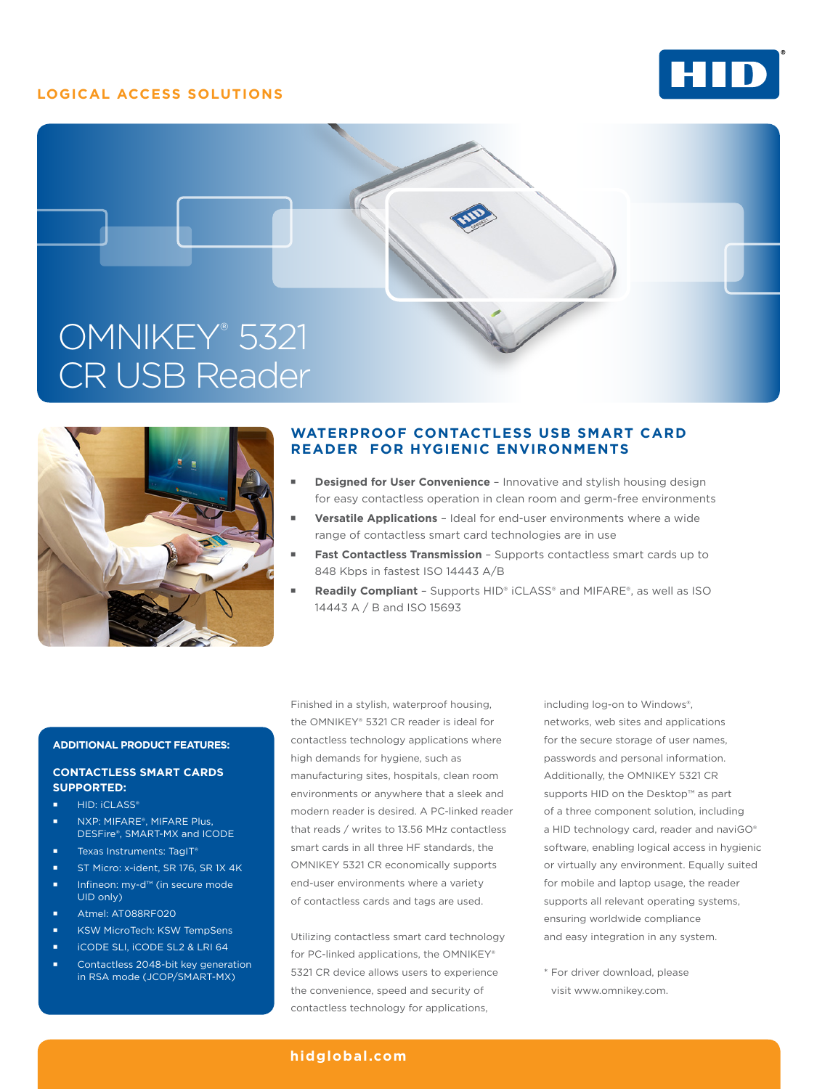# **LOGICAL ACCESS SOLUTIONS**







# **WATERPROOF CONTACTLESS USB SMART CARD READER FOR HYGIENIC ENVIRONMENTS**

- **Designed for User Convenience** Innovative and stylish housing design for easy contactless operation in clean room and germ-free environments
- **Versatile Applications** Ideal for end-user environments where a wide range of contactless smart card technologies are in use
- **Fast Contactless Transmission** Supports contactless smart cards up to 848 Kbps in fastest ISO 14443 A/B
- **Readily Compliant** Supports HID® iCLASS® and MIFARE®, as well as ISO 14443 A / B and ISO 15693

## **ADDITIONAL PRODUCT FEATURES:**

#### **CONTACTLESS SMART CARDS SUPPORTED:**

- **HID: iCLASS®**
- NXP: MIFARE®, MIFARE Plus, DESFire®, SMART-MX and ICODE
- Texas Instruments: TagIT®
- ST Micro: x-ident, SR 176, SR 1X 4K
- Infineon: my-d™ (in secure mode UID only)
- Atmel: AT088RF020
- KSW MicroTech: KSW TempSens
- iCODE SLI, iCODE SL2 & LRI 64
- Contactless 2048-bit key generation in RSA mode (JCOP/SMART-MX)

Finished in a stylish, waterproof housing, the OMNIKEY® 5321 CR reader is ideal for contactless technology applications where high demands for hygiene, such as manufacturing sites, hospitals, clean room environments or anywhere that a sleek and modern reader is desired. A PC-linked reader that reads / writes to 13.56 MHz contactless smart cards in all three HF standards, the OMNIKEY 5321 CR economically supports end-user environments where a variety of contactless cards and tags are used.

Utilizing contactless smart card technology for PC-linked applications, the OMNIKEY® 5321 CR device allows users to experience the convenience, speed and security of contactless technology for applications,

including log-on to Windows®, networks, web sites and applications for the secure storage of user names, passwords and personal information. Additionally, the OMNIKEY 5321 CR supports HID on the Desktop™ as part of a three component solution, including a HID technology card, reader and naviGO® software, enabling logical access in hygienic or virtually any environment. Equally suited for mobile and laptop usage, the reader supports all relevant operating systems, ensuring worldwide compliance and easy integration in any system.

\* For driver download, please visit www.omnikey.com.